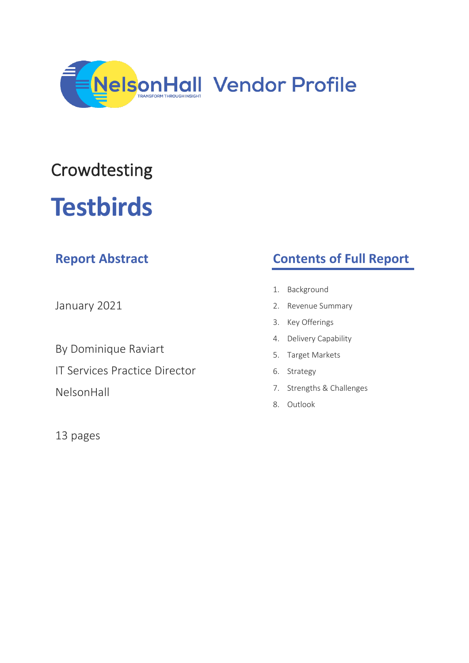

## Crowdtesting

# **Testbirds**

| <b>Report Abstract</b>               | <b>Contents of Full Report</b> |
|--------------------------------------|--------------------------------|
| January 2021                         | Background<br>1.               |
|                                      | 2. Revenue Summary             |
|                                      | Key Offerings<br>3.            |
| By Dominique Raviart                 | 4. Delivery Capability         |
|                                      | 5. Target Markets              |
| <b>IT Services Practice Director</b> | 6. Strategy                    |
| NelsonHall                           | 7. Strengths & Challenges      |
|                                      | Outlook<br>8.                  |
| 13 pages                             |                                |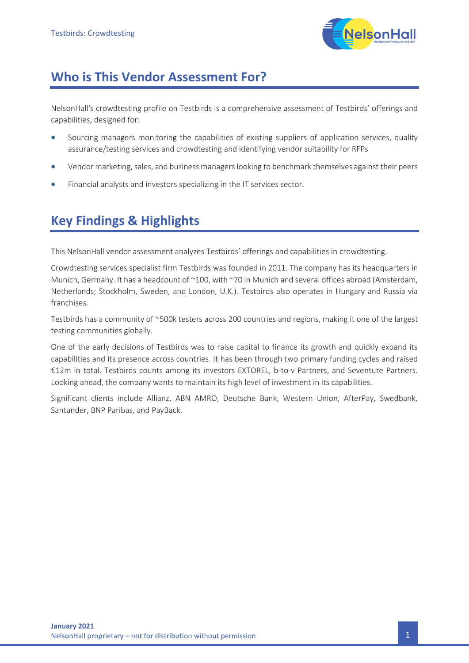

## **Who is This Vendor Assessment For?**

NelsonHall's crowdtesting profile on Testbirds is a comprehensive assessment of Testbirds' offerings and capabilities, designed for:

- Sourcing managers monitoring the capabilities of existing suppliers of application services, quality assurance/testing services and crowdtesting and identifying vendor suitability for RFPs
- Vendor marketing, sales, and business managers looking to benchmark themselves against their peers
- Financial analysts and investors specializing in the IT services sector.

## **Key Findings & Highlights**

This NelsonHall vendor assessment analyzes Testbirds' offerings and capabilities in crowdtesting.

Crowdtesting services specialist firm Testbirds was founded in 2011. The company has its headquarters in Munich, Germany. It has a headcount of ~100, with ~70 in Munich and several offices abroad (Amsterdam, Netherlands; Stockholm, Sweden, and London, U.K.). Testbirds also operates in Hungary and Russia via franchises.

Testbirds has a community of ~500k testers across 200 countries and regions, making it one of the largest testing communities globally.

One of the early decisions of Testbirds was to raise capital to finance its growth and quickly expand its capabilities and its presence across countries. It has been through two primary funding cycles and raised €12m in total. Testbirds counts among its investors EXTOREL, b-to-v Partners, and Seventure Partners. Looking ahead, the company wants to maintain its high level of investment in its capabilities.

Significant clients include Allianz, ABN AMRO, Deutsche Bank, Western Union, AfterPay, Swedbank, Santander, BNP Paribas, and PayBack.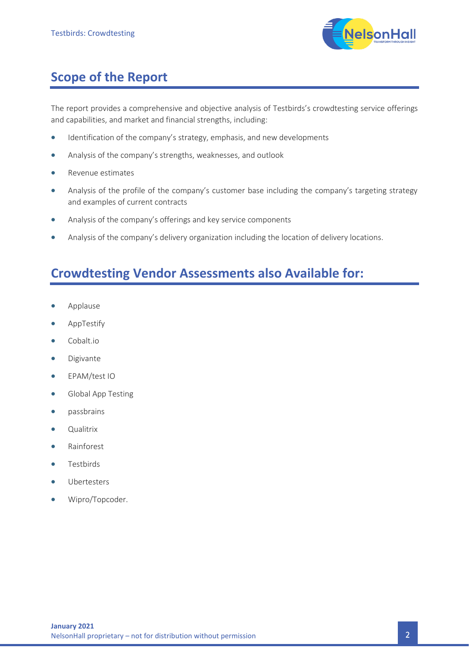

## **Scope of the Report**

The report provides a comprehensive and objective analysis of Testbirds's crowdtesting service offerings and capabilities, and market and financial strengths, including:

- Identification of the company's strategy, emphasis, and new developments
- Analysis of the company's strengths, weaknesses, and outlook
- Revenue estimates
- Analysis of the profile of the company's customer base including the company's targeting strategy and examples of current contracts
- Analysis of the company's offerings and key service components
- Analysis of the company's delivery organization including the location of delivery locations.

## **Crowdtesting Vendor Assessments also Available for:**

- Applause
- AppTestify
- Cobalt.io
- Digivante
- EPAM/test IO
- Global App Testing
- passbrains
- Qualitrix
- Rainforest
- **Testbirds**
- **Ubertesters**
- Wipro/Topcoder.